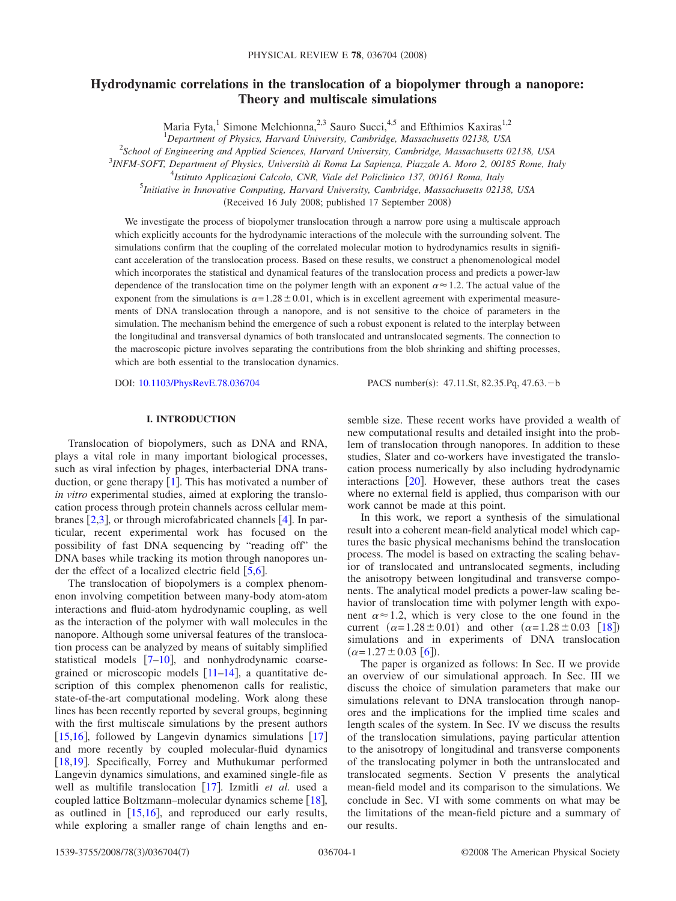# **Hydrodynamic correlations in the translocation of a biopolymer through a nanopore: Theory and multiscale simulations**

Maria Fyta,<sup>1</sup> Simone Melchionna,<sup>2,3</sup> Sauro Succi,<sup>4,5</sup> and Efthimios Kaxiras<sup>1,2</sup>

1 *Department of Physics, Harvard University, Cambridge, Massachusetts 02138, USA*

2 *School of Engineering and Applied Sciences, Harvard University, Cambridge, Massachusetts 02138, USA*

3 *INFM-SOFT, Department of Physics, Università di Roma La Sapienza, Piazzale A. Moro 2, 00185 Rome, Italy*

5 *Initiative in Innovative Computing, Harvard University, Cambridge, Massachusetts 02138, USA*

Received 16 July 2008; published 17 September 2008-

We investigate the process of biopolymer translocation through a narrow pore using a multiscale approach which explicitly accounts for the hydrodynamic interactions of the molecule with the surrounding solvent. The simulations confirm that the coupling of the correlated molecular motion to hydrodynamics results in significant acceleration of the translocation process. Based on these results, we construct a phenomenological model which incorporates the statistical and dynamical features of the translocation process and predicts a power-law dependence of the translocation time on the polymer length with an exponent  $\alpha \approx 1.2$ . The actual value of the exponent from the simulations is  $\alpha = 1.28 \pm 0.01$ , which is in excellent agreement with experimental measurements of DNA translocation through a nanopore, and is not sensitive to the choice of parameters in the simulation. The mechanism behind the emergence of such a robust exponent is related to the interplay between the longitudinal and transversal dynamics of both translocated and untranslocated segments. The connection to the macroscopic picture involves separating the contributions from the blob shrinking and shifting processes, which are both essential to the translocation dynamics.

DOI: [10.1103/PhysRevE.78.036704](http://dx.doi.org/10.1103/PhysRevE.78.036704)

PACS number(s): 47.11.St, 82.35.Pq, 47.63.-b

## **I. INTRODUCTION**

Translocation of biopolymers, such as DNA and RNA, plays a vital role in many important biological processes, such as viral infection by phages, interbacterial DNA transduction, or gene therapy  $\lceil 1 \rceil$  $\lceil 1 \rceil$  $\lceil 1 \rceil$ . This has motivated a number of *in vitro* experimental studies, aimed at exploring the translocation process through protein channels across cellular membranes  $[2,3]$  $[2,3]$  $[2,3]$  $[2,3]$ , or through microfabricated channels  $[4]$  $[4]$  $[4]$ . In particular, recent experimental work has focused on the possibility of fast DNA sequencing by "reading off" the DNA bases while tracking its motion through nanopores under the effect of a localized electric field  $\lceil 5, 6 \rceil$  $\lceil 5, 6 \rceil$  $\lceil 5, 6 \rceil$  $\lceil 5, 6 \rceil$  $\lceil 5, 6 \rceil$ .

The translocation of biopolymers is a complex phenomenon involving competition between many-body atom-atom interactions and fluid-atom hydrodynamic coupling, as well as the interaction of the polymer with wall molecules in the nanopore. Although some universal features of the translocation process can be analyzed by means of suitably simplified statistical models  $[7-10]$  $[7-10]$  $[7-10]$ , and nonhydrodynamic coarsegrained or microscopic models  $[11-14]$  $[11-14]$  $[11-14]$ , a quantitative description of this complex phenomenon calls for realistic, state-of-the-art computational modeling. Work along these lines has been recently reported by several groups, beginning with the first multiscale simulations by the present authors  $[15,16]$  $[15,16]$  $[15,16]$  $[15,16]$ , followed by Langevin dynamics simulations  $[17]$  $[17]$  $[17]$ and more recently by coupled molecular-fluid dynamics [[18](#page-6-9)[,19](#page-6-10)]. Specifically, Forrey and Muthukumar performed Langevin dynamics simulations, and examined single-file as well as multifile translocation [[17](#page-6-8)]. Izmitli et al. used a coupled lattice Boltzmann–molecular dynamics scheme [[18](#page-6-9)], as outlined in  $[15,16]$  $[15,16]$  $[15,16]$  $[15,16]$ , and reproduced our early results, while exploring a smaller range of chain lengths and ensemble size. These recent works have provided a wealth of new computational results and detailed insight into the problem of translocation through nanopores. In addition to these studies, Slater and co-workers have investigated the translocation process numerically by also including hydrodynamic interactions  $\lceil 20 \rceil$  $\lceil 20 \rceil$  $\lceil 20 \rceil$ . However, these authors treat the cases where no external field is applied, thus comparison with our work cannot be made at this point.

In this work, we report a synthesis of the simulational result into a coherent mean-field analytical model which captures the basic physical mechanisms behind the translocation process. The model is based on extracting the scaling behavior of translocated and untranslocated segments, including the anisotropy between longitudinal and transverse components. The analytical model predicts a power-law scaling behavior of translocation time with polymer length with exponent  $\alpha \approx 1.2$ , which is very close to the one found in the current  $(\alpha = 1.28 \pm 0.01)$  and other  $(\alpha = 1.28 \pm 0.03$  [[18](#page-6-9)]) simulations and in experiments of DNA translocation  $(\alpha = 1.27 \pm 0.03$  [[6](#page-6-1)]).

The paper is organized as follows: In Sec. II we provide an overview of our simulational approach. In Sec. III we discuss the choice of simulation parameters that make our simulations relevant to DNA translocation through nanopores and the implications for the implied time scales and length scales of the system. In Sec. IV we discuss the results of the translocation simulations, paying particular attention to the anisotropy of longitudinal and transverse components of the translocating polymer in both the untranslocated and translocated segments. Section V presents the analytical mean-field model and its comparison to the simulations. We conclude in Sec. VI with some comments on what may be the limitations of the mean-field picture and a summary of our results.

<sup>4</sup> *Istituto Applicazioni Calcolo, CNR, Viale del Policlinico 137, 00161 Roma, Italy*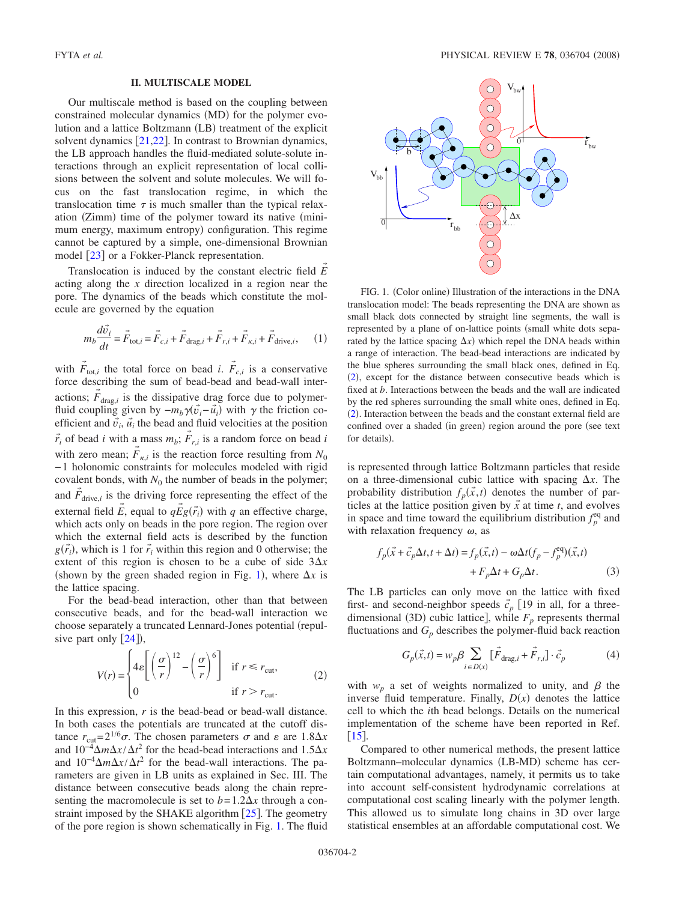## **II. MULTISCALE MODEL**

Our multiscale method is based on the coupling between constrained molecular dynamics (MD) for the polymer evolution and a lattice Boltzmann (LB) treatment of the explicit solvent dynamics  $[21,22]$  $[21,22]$  $[21,22]$  $[21,22]$ . In contrast to Brownian dynamics, the LB approach handles the fluid-mediated solute-solute interactions through an explicit representation of local collisions between the solvent and solute molecules. We will focus on the fast translocation regime, in which the translocation time  $\tau$  is much smaller than the typical relaxation (Zimm) time of the polymer toward its native (minimum energy, maximum entropy) configuration. This regime cannot be captured by a simple, one-dimensional Brownian model  $\lceil 23 \rceil$  $\lceil 23 \rceil$  $\lceil 23 \rceil$  or a Fokker-Planck representation.

Translocation is induced by the constant electric field  $\vec{E}$ acting along the *x* direction localized in a region near the pore. The dynamics of the beads which constitute the molecule are governed by the equation

$$
m_b \frac{d\vec{v}_i}{dt} = \vec{F}_{\text{tot},i} = \vec{F}_{c,i} + \vec{F}_{\text{drag},i} + \vec{F}_{r,i} + \vec{F}_{\kappa,i} + \vec{F}_{\text{drive},i},\qquad(1)
$$

<span id="page-1-2"></span>with  $\vec{F}_{\text{tot},i}$  the total force on bead *i*.  $\vec{F}_{c,i}$  is a conservative force describing the sum of bead-bead and bead-wall interactions;  $F_{\text{drag},i}$  is the dissipative drag force due to polymer-→ fluid coupling given by  $-m_b\gamma(\vec{v}_i-\vec{u}_i)$  with  $\gamma$  the friction coefficient and  $\vec{v}_i$ ,  $\vec{u}_i$  the bead and fluid velocities at the position  $\vec{r}_i$  of bead *i* with a mass  $m_b$ ;  $\vec{F}_{r,i}$  is a random force on bead *i* with zero mean;  $\vec{F}_{\kappa,i}$  is the reaction force resulting from  $N_0$ − 1 holonomic constraints for molecules modeled with rigid covalent bonds, with  $N_0$  the number of beads in the polymer; and  $\vec{F}_{\text{drive},i}$  is the driving force representing the effect of the external field  $\vec{E}$ , equal to  $q\vec{E}g(\vec{r}_i)$  with *q* an effective charge, which acts only on beads in the pore region. The region over which the external field acts is described by the function  $g(\vec{r}_i)$ , which is 1 for  $\vec{r}_i$  within this region and 0 otherwise; the extent of this region is chosen to be a cube of side  $3\Delta x$ (shown by the green shaded region in Fig. [1](#page-1-0)), where  $\Delta x$  is the lattice spacing.

For the bead-bead interaction, other than that between consecutive beads, and for the bead-wall interaction we choose separately a truncated Lennard-Jones potential (repulsive part only  $[24]$  $[24]$  $[24]$ ),

$$
V(r) = \begin{cases} 4\varepsilon \left[ \left( \frac{\sigma}{r} \right)^{12} - \left( \frac{\sigma}{r} \right)^6 \right] & \text{if } r \le r_{\text{cut}}, \\ 0 & \text{if } r > r_{\text{cut}}. \end{cases}
$$
 (2)

<span id="page-1-1"></span>In this expression, *r* is the bead-bead or bead-wall distance. In both cases the potentials are truncated at the cutoff distance  $r_{\text{cut}} = 2^{1/6}\sigma$ . The chosen parameters  $\sigma$  and  $\varepsilon$  are  $1.8\Delta x$ and  $10^{-4} \Delta m \Delta x / \Delta t^2$  for the bead-bead interactions and  $1.5 \Delta x$ and  $10^{-4} \Delta m \Delta x / \Delta t^2$  for the bead-wall interactions. The parameters are given in LB units as explained in Sec. III. The distance between consecutive beads along the chain representing the macromolecule is set to  $b = 1.2\Delta x$  through a constraint imposed by the SHAKE algorithm  $\lceil 25 \rceil$  $\lceil 25 \rceil$  $\lceil 25 \rceil$ . The geometry of the pore region is shown schematically in Fig. [1.](#page-1-0) The fluid

<span id="page-1-0"></span>

FIG. 1. (Color online) Illustration of the interactions in the DNA translocation model: The beads representing the DNA are shown as small black dots connected by straight line segments, the wall is represented by a plane of on-lattice points (small white dots separated by the lattice spacing  $\Delta x$ ) which repel the DNA beads within a range of interaction. The bead-bead interactions are indicated by the blue spheres surrounding the small black ones, defined in Eq. ([2](#page-1-1)), except for the distance between consecutive beads which is fixed at *b*. Interactions between the beads and the wall are indicated by the red spheres surrounding the small white ones, defined in Eq.  $(2)$  $(2)$  $(2)$ . Interaction between the beads and the constant external field are confined over a shaded (in green) region around the pore (see text for details).

is represented through lattice Boltzmann particles that reside on a three-dimensional cubic lattice with spacing  $\Delta x$ . The probability distribution  $f_p(\vec{x},t)$  denotes the number of particles at the lattice position given by  $\vec{x}$  at time *t*, and evolves in space and time toward the equilibrium distribution  $f_p^{\text{eq}}$  and with relaxation frequency  $\omega$ , as

$$
f_p(\vec{x} + \vec{c}_p \Delta t, t + \Delta t) = f_p(\vec{x}, t) - \omega \Delta t (f_p - f_p^{\text{eq}})(\vec{x}, t)
$$
  
+ 
$$
F_p \Delta t + G_p \Delta t.
$$
 (3)

The LB particles can only move on the lattice with fixed first- and second-neighbor speeds  $\vec{c}_p$  [19 in all, for a threedimensional (3D) cubic lattice], while  $F_p$  represents thermal fluctuations and  $G_p$  describes the polymer-fluid back reaction

$$
G_p(\vec{x},t) = w_p \beta \sum_{i \in D(x)} [\vec{F}_{\text{drag},i} + \vec{F}_{r,i}] \cdot \vec{c}_p \tag{4}
$$

with  $w_p$  a set of weights normalized to unity, and  $\beta$  the inverse fluid temperature. Finally,  $D(x)$  denotes the lattice cell to which the *i*th bead belongs. Details on the numerical implementation of the scheme have been reported in Ref.  $\lceil 15 \rceil$  $\lceil 15 \rceil$  $\lceil 15 \rceil$ .

Compared to other numerical methods, the present lattice Boltzmann-molecular dynamics (LB-MD) scheme has certain computational advantages, namely, it permits us to take into account self-consistent hydrodynamic correlations at computational cost scaling linearly with the polymer length. This allowed us to simulate long chains in 3D over large statistical ensembles at an affordable computational cost. We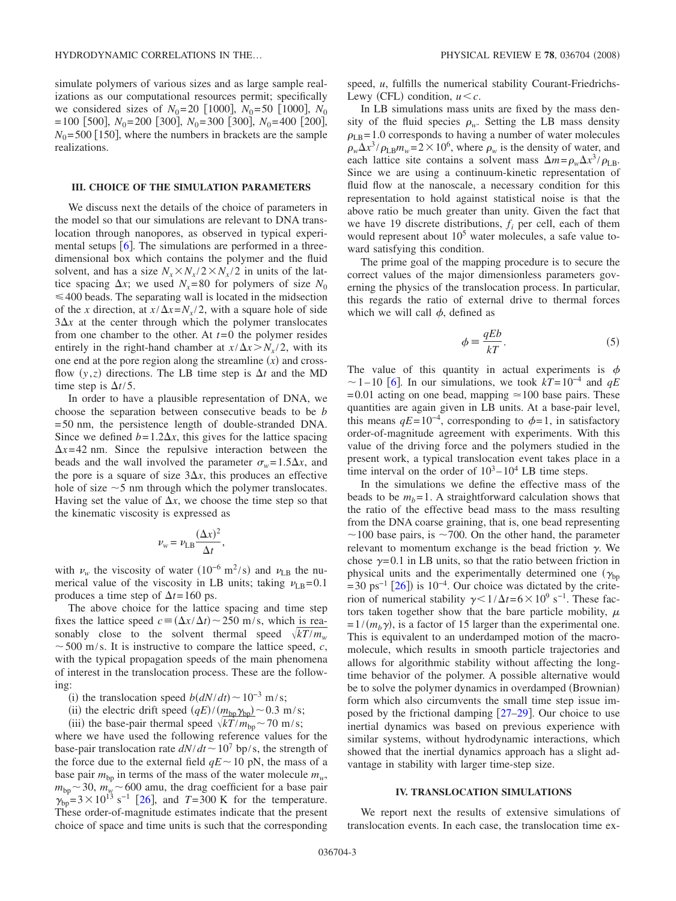simulate polymers of various sizes and as large sample realizations as our computational resources permit; specifically we considered sizes of  $N_0$ = 20 [1000],  $N_0$ = 50 [1000],  $N_0$  $= 100$  [500],  $N_0 = 200$  [300],  $N_0 = 300$  [300],  $N_0 = 400$  [200],  $N_0$ = 500 [150], where the numbers in brackets are the sample realizations.

#### **III. CHOICE OF THE SIMULATION PARAMETERS**

We discuss next the details of the choice of parameters in the model so that our simulations are relevant to DNA translocation through nanopores, as observed in typical experimental setups  $\lceil 6 \rceil$  $\lceil 6 \rceil$  $\lceil 6 \rceil$ . The simulations are performed in a threedimensional box which contains the polymer and the fluid solvent, and has a size  $N_r \times N_r / 2 \times N_r / 2$  in units of the lattice spacing  $\Delta x$ ; we used  $N_x=80$  for polymers of size  $N_0$  $\leq 400$  beads. The separating wall is located in the midsection of the *x* direction, at  $x/\Delta x = N_x/2$ , with a square hole of side  $3\Delta x$  at the center through which the polymer translocates from one chamber to the other. At  $t=0$  the polymer resides entirely in the right-hand chamber at  $x/\Delta x > N_x/2$ , with its one end at the pore region along the streamline  $(x)$  and crossflow  $(y, z)$  directions. The LB time step is  $\Delta t$  and the MD time step is  $\Delta t/5$ .

In order to have a plausible representation of DNA, we choose the separation between consecutive beads to be *b* = 50 nm, the persistence length of double-stranded DNA. Since we defined  $b = 1.2\Delta x$ , this gives for the lattice spacing  $\Delta x = 42$  nm. Since the repulsive interaction between the beads and the wall involved the parameter  $\sigma_w = 1.5 \Delta x$ , and the pore is a square of size  $3\Delta x$ , this produces an effective hole of size  $\sim$  5 nm through which the polymer translocates. Having set the value of  $\Delta x$ , we choose the time step so that the kinematic viscosity is expressed as

$$
\nu_w = \nu_{\text{LB}} \frac{(\Delta x)^2}{\Delta t},
$$

with  $\nu_w$  the viscosity of water (10<sup>-6</sup> m<sup>2</sup>/s) and  $\nu_{LB}$  the numerical value of the viscosity in LB units; taking  $v_{LB}= 0.1$ produces a time step of  $\Delta t = 160$  ps.

The above choice for the lattice spacing and time step fixes the lattice speed  $c = (\Delta x / \Delta t) \sim 250$  m/s, which is reasonably close to the solvent thermal speed  $\sqrt{kT/m_{\nu}}$  $\sim$  500 m/s. It is instructive to compare the lattice speed, *c*, with the typical propagation speeds of the main phenomena of interest in the translocation process. These are the following:

- (i) the translocation speed  $b\left(\frac{dN}{dt}\right)$  ∼ 10<sup>-3</sup> m/s;
- (ii) the electric drift speed  $(qE)/(\underline{m_{bp}\gamma_{bp}}) \sim 0.3$  m/s;
- (ii) the base-pair thermal speed  $\sqrt{kT/m_{bp}} \sim 70$  m/s;

where we have used the following reference values for the base-pair translocation rate  $dN/dt \sim 10^7$  bp/s, the strength of the force due to the external field  $qE \sim 10$  pN, the mass of a base pair  $m_{bp}$  in terms of the mass of the water molecule  $m_w$ ,  $m_{bp} \sim 30$ ,  $m_{y} \sim 600$  amu, the drag coefficient for a base pair  $y_{bp} = 3 \times 10^{13} \text{ s}^{-1}$  [[26](#page-6-17)], and *T*=300 K for the temperature. These order-of-magnitude estimates indicate that the present choice of space and time units is such that the corresponding speed, *u*, fulfills the numerical stability Courant-Friedrichs-Lewy (CFL) condition,  $u < c$ .

In LB simulations mass units are fixed by the mass density of the fluid species  $\rho_w$ . Setting the LB mass density  $\rho_{\text{LB}}$ = 1.0 corresponds to having a number of water molecules  $\rho_w \Delta x^3 / \rho_{\rm LB} m_w = 2 \times 10^6$ , where  $\rho_w$  is the density of water, and each lattice site contains a solvent mass  $\Delta m = \rho_w \Delta x^3 / \rho_{\text{LB}}$ . Since we are using a continuum-kinetic representation of fluid flow at the nanoscale, a necessary condition for this representation to hold against statistical noise is that the above ratio be much greater than unity. Given the fact that we have 19 discrete distributions,  $f_i$  per cell, each of them would represent about  $10<sup>5</sup>$  water molecules, a safe value toward satisfying this condition.

The prime goal of the mapping procedure is to secure the correct values of the major dimensionless parameters governing the physics of the translocation process. In particular, this regards the ratio of external drive to thermal forces which we will call  $\phi$ , defined as

$$
\phi = \frac{qEb}{kT}.\tag{5}
$$

The value of this quantity in actual experiments is  $\phi$  $\sim$  1 – 10 [[6](#page-6-1)]. In our simulations, we took  $kT$ = 10<sup>-4</sup> and  $qE$  $= 0.01$  acting on one bead, mapping  $\approx 100$  base pairs. These quantities are again given in LB units. At a base-pair level, this means  $qE = 10^{-4}$ , corresponding to  $\phi = 1$ , in satisfactory order-of-magnitude agreement with experiments. With this value of the driving force and the polymers studied in the present work, a typical translocation event takes place in a time interval on the order of  $10^3 - 10^4$  LB time steps.

In the simulations we define the effective mass of the beads to be  $m_b = 1$ . A straightforward calculation shows that the ratio of the effective bead mass to the mass resulting from the DNA coarse graining, that is, one bead representing  $\sim$ 100 base pairs, is  $\sim$ 700. On the other hand, the parameter relevant to momentum exchange is the bead friction  $\gamma$ . We chose  $\gamma = 0.1$  in LB units, so that the ratio between friction in physical units and the experimentally determined one  $(\gamma_{bn})$  $= 30 \text{ ps}^{-1}$  [[26](#page-6-17)]) is 10<sup>-4</sup>. Our choice was dictated by the criterion of numerical stability  $\gamma < 1/\Delta t = 6 \times 10^9$  s<sup>-1</sup>. These factors taken together show that the bare particle mobility,  $\mu$  $= 1/(m_b \gamma)$ , is a factor of 15 larger than the experimental one. This is equivalent to an underdamped motion of the macromolecule, which results in smooth particle trajectories and allows for algorithmic stability without affecting the longtime behavior of the polymer. A possible alternative would be to solve the polymer dynamics in overdamped (Brownian) form which also circumvents the small time step issue imposed by the frictional damping  $[27-29]$  $[27-29]$  $[27-29]$ . Our choice to use inertial dynamics was based on previous experience with similar systems, without hydrodynamic interactions, which showed that the inertial dynamics approach has a slight advantage in stability with larger time-step size.

#### **IV. TRANSLOCATION SIMULATIONS**

We report next the results of extensive simulations of translocation events. In each case, the translocation time ex-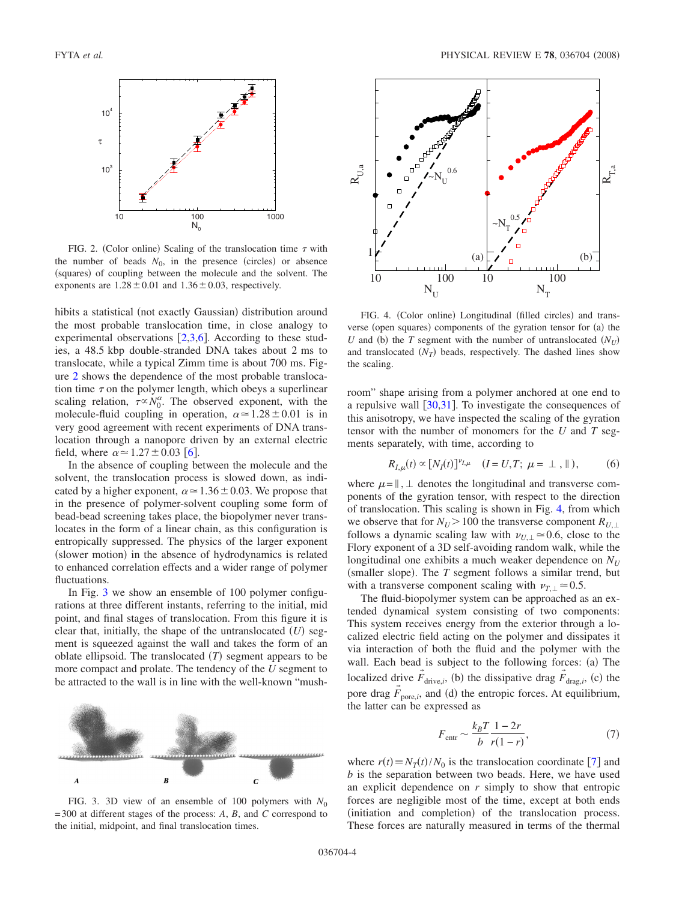<span id="page-3-0"></span>

FIG. 2. (Color online) Scaling of the translocation time  $\tau$  with the number of beads  $N_0$ , in the presence (circles) or absence (squares) of coupling between the molecule and the solvent. The exponents are  $1.28 \pm 0.01$  and  $1.36 \pm 0.03$ , respectively.

hibits a statistical (not exactly Gaussian) distribution around the most probable translocation time, in close analogy to experimental observations  $\left[2,3,6\right]$  $\left[2,3,6\right]$  $\left[2,3,6\right]$  $\left[2,3,6\right]$  $\left[2,3,6\right]$ . According to these studies, a 48.5 kbp double-stranded DNA takes about 2 ms to translocate, while a typical Zimm time is about 700 ms. Figure [2](#page-3-0) shows the dependence of the most probable translocation time  $\tau$  on the polymer length, which obeys a superlinear scaling relation,  $\tau \propto N_0^{\alpha}$ . The observed exponent, with the molecule-fluid coupling in operation,  $\alpha \approx 1.28 \pm 0.01$  is in very good agreement with recent experiments of DNA translocation through a nanopore driven by an external electric field, where  $\alpha \approx 1.27 \pm 0.03$  [[6](#page-6-1)].

In the absence of coupling between the molecule and the solvent, the translocation process is slowed down, as indicated by a higher exponent,  $\alpha \approx 1.36 \pm 0.03$ . We propose that in the presence of polymer-solvent coupling some form of bead-bead screening takes place, the biopolymer never translocates in the form of a linear chain, as this configuration is entropically suppressed. The physics of the larger exponent (slower motion) in the absence of hydrodynamics is related to enhanced correlation effects and a wider range of polymer fluctuations.

In Fig. [3](#page-3-1) we show an ensemble of 100 polymer configurations at three different instants, referring to the initial, mid point, and final stages of translocation. From this figure it is clear that, initially, the shape of the untranslocated  $(U)$  segment is squeezed against the wall and takes the form of an oblate ellipsoid. The translocated  $(T)$  segment appears to be more compact and prolate. The tendency of the *U* segment to be attracted to the wall is in line with the well-known "mush-

<span id="page-3-1"></span>

FIG. 3. 3D view of an ensemble of 100 polymers with  $N_0$ = 300 at different stages of the process: *A*, *B*, and *C* correspond to the initial, midpoint, and final translocation times.

<span id="page-3-2"></span>

FIG. 4. (Color online) Longitudinal (filled circles) and transverse (open squares) components of the gyration tensor for (a) the *U* and (b) the *T* segment with the number of untranslocated  $(N_U)$ and translocated  $(N_T)$  beads, respectively. The dashed lines show the scaling.

room" shape arising from a polymer anchored at one end to a repulsive wall  $\left|30,31\right|$  $\left|30,31\right|$  $\left|30,31\right|$  $\left|30,31\right|$ . To investigate the consequences of this anisotropy, we have inspected the scaling of the gyration tensor with the number of monomers for the *U* and *T* segments separately, with time, according to

$$
R_{I,\mu}(t) \propto [N_I(t)]^{\nu_{I,\mu}} \quad (I = U, T; \ \mu = \bot \ , \parallel), \tag{6}
$$

<span id="page-3-3"></span>where  $\mu = \parallel$ ,  $\perp$  denotes the longitudinal and transverse components of the gyration tensor, with respect to the direction of translocation. This scaling is shown in Fig. [4,](#page-3-2) from which we observe that for  $N_U > 100$  the transverse component  $R_{U, \perp}$ follows a dynamic scaling law with  $\nu_{U, \perp} \simeq 0.6$ , close to the Flory exponent of a 3D self-avoiding random walk, while the longitudinal one exhibits a much weaker dependence on  $N_U$ (smaller slope). The  $T$  segment follows a similar trend, but with a transverse component scaling with  $\nu_{T} \approx 0.5$ .

The fluid-biopolymer system can be approached as an extended dynamical system consisting of two components: This system receives energy from the exterior through a localized electric field acting on the polymer and dissipates it via interaction of both the fluid and the polymer with the wall. Each bead is subject to the following forces: (a) The localized drive  $\vec{F}_{\text{drive},i}$ , (b) the dissipative drag  $\vec{F}_{\text{drag},i}$ , (c) the pore drag  $\vec{F}_{\text{pore},i}$ , and (d) the entropic forces. At equilibrium, the latter can be expressed as

$$
F_{\text{entr}} \sim \frac{k_B T}{b} \frac{1 - 2r}{r(1 - r)},\tag{7}
$$

where  $r(t) \equiv N_T(t)/N_0$  is the translocation coordinate [[7](#page-6-2)] and *b* is the separation between two beads. Here, we have used an explicit dependence on *r* simply to show that entropic forces are negligible most of the time, except at both ends (initiation and completion) of the translocation process. These forces are naturally measured in terms of the thermal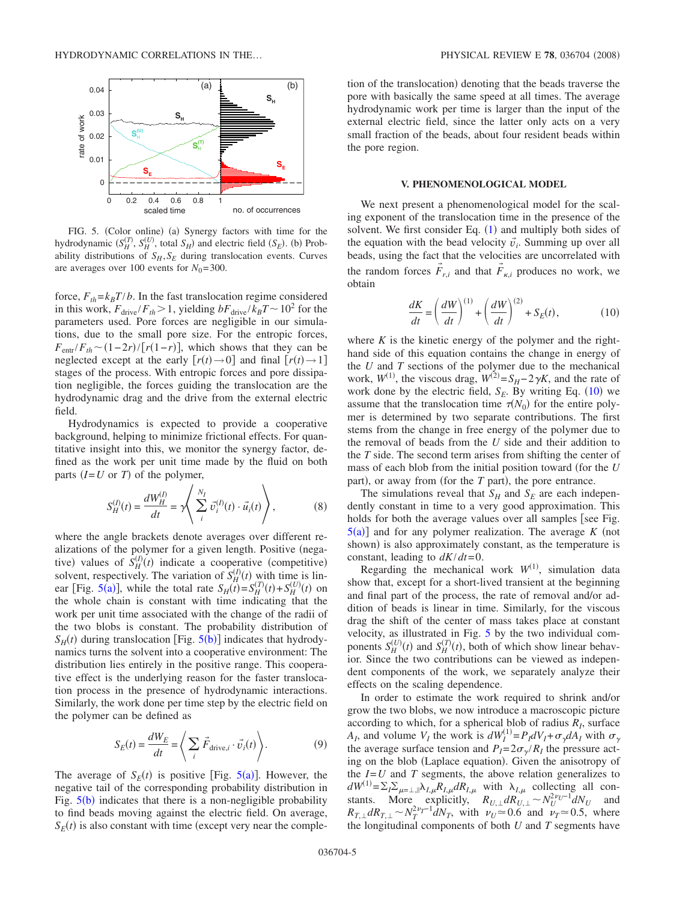<span id="page-4-0"></span>

FIG. 5. (Color online) (a) Synergy factors with time for the hydrodynamic  $(S_H^{(T)}, S_H^{(U)}$ , total  $S_H$ ) and electric field  $(S_E)$ . (b) Probability distributions of  $S_H$ ,  $S_F$  during translocation events. Curves are averages over 100 events for  $N_0$ = 300.

force,  $F_{th} = k_B T/b$ . In the fast translocation regime considered in this work,  $F_{\text{drive}}/F_{th} > 1$ , yielding  $bF_{\text{drive}}/k_BT \sim 10^2$  for the parameters used. Pore forces are negligible in our simulations, due to the small pore size. For the entropic forces,  $F_{\text{entr}}/F_{th} \sim (1-2r)/[r(1-r)]$ , which shows that they can be neglected except at the early  $[r(t) \rightarrow 0]$  and final  $[r(t) \rightarrow 1]$ stages of the process. With entropic forces and pore dissipation negligible, the forces guiding the translocation are the hydrodynamic drag and the drive from the external electric field.

Hydrodynamics is expected to provide a cooperative background, helping to minimize frictional effects. For quantitative insight into this, we monitor the synergy factor, defined as the work per unit time made by the fluid on both parts  $(I = U \text{ or } T)$  of the polymer,

$$
S_H^{(I)}(t) = \frac{dW_H^{(I)}}{dt} = \gamma \left( \sum_i^{N_I} \vec{v}_i^{(I)}(t) \cdot \vec{u}_i(t) \right), \tag{8}
$$

where the angle brackets denote averages over different realizations of the polymer for a given length. Positive (negative) values of  $\hat{S}_{H}^{(I)}(t)$  indicate a cooperative (competitive) solvent, respectively. The variation of  $S_H^{(1)}(t)$  with time is lin-ear [Fig. [5](#page-4-0)(a)], while the total rate  $S_H(t) = S_H^{\left(T\right)}(t) + S_H^{\left(U\right)}(t)$  on the whole chain is constant with time indicating that the work per unit time associated with the change of the radii of the two blobs is constant. The probability distribution of  $S_H(t)$  during translocation [Fig. [5](#page-4-0)(b)] indicates that hydrodynamics turns the solvent into a cooperative environment: The distribution lies entirely in the positive range. This cooperative effect is the underlying reason for the faster translocation process in the presence of hydrodynamic interactions. Similarly, the work done per time step by the electric field on the polymer can be defined as

$$
S_E(t) = \frac{dW_E}{dt} = \left\langle \sum_i \vec{F}_{\text{drive},i} \cdot \vec{v}_i(t) \right\rangle. \tag{9}
$$

The average of  $S_E(t)$  is positive [Fig. [5](#page-4-0)(a)]. However, the negative tail of the corresponding probability distribution in Fig.  $5(b)$  $5(b)$  indicates that there is a non-negligible probability to find beads moving against the electric field. On average,  $S_E(t)$  is also constant with time (except very near the comple-

tion of the translocation) denoting that the beads traverse the pore with basically the same speed at all times. The average hydrodynamic work per time is larger than the input of the external electric field, since the latter only acts on a very small fraction of the beads, about four resident beads within the pore region.

#### **V. PHENOMENOLOGICAL MODEL**

We next present a phenomenological model for the scaling exponent of the translocation time in the presence of the solvent. We first consider Eq.  $(1)$  $(1)$  $(1)$  and multiply both sides of the equation with the bead velocity  $\vec{v}_i$ . Summing up over all beads, using the fact that the velocities are uncorrelated with the random forces  $\tilde{F}_{r,i}$  and that  $\tilde{F}_{\kappa,i}$  produces no work, we obtain

$$
\frac{dK}{dt} = \left(\frac{dW}{dt}\right)^{(1)} + \left(\frac{dW}{dt}\right)^{(2)} + S_E(t),\tag{10}
$$

<span id="page-4-1"></span>where  $K$  is the kinetic energy of the polymer and the righthand side of this equation contains the change in energy of the *U* and *T* sections of the polymer due to the mechanical work,  $W^{(1)}$ , the viscous drag,  $W^{(2)} = S_H - 2\gamma K$ , and the rate of work done by the electric field,  $S_E$ . By writing Eq.  $(10)$  $(10)$  $(10)$  we assume that the translocation time  $\tau(N_0)$  for the entire polymer is determined by two separate contributions. The first stems from the change in free energy of the polymer due to the removal of beads from the *U* side and their addition to the *T* side. The second term arises from shifting the center of mass of each blob from the initial position toward for the *U* part), or away from (for the *T* part), the pore entrance.

The simulations reveal that  $S_H$  and  $S_E$  are each independently constant in time to a very good approximation. This holds for both the average values over all samples [see Fig.  $5(a)$  $5(a)$ ] and for any polymer realization. The average *K* (not shown) is also approximately constant, as the temperature is constant, leading to *dK*/*dt*=0.

Regarding the mechanical work  $W^{(1)}$ , simulation data show that, except for a short-lived transient at the beginning and final part of the process, the rate of removal and/or addition of beads is linear in time. Similarly, for the viscous drag the shift of the center of mass takes place at constant velocity, as illustrated in Fig. [5](#page-4-0) by the two individual components  $S_H^{(U)}(t)$  and  $S_H^{(T)}(t)$ , both of which show linear behavior. Since the two contributions can be viewed as independent components of the work, we separately analyze their effects on the scaling dependence.

In order to estimate the work required to shrink and/or grow the two blobs, we now introduce a macroscopic picture according to which, for a spherical blob of radius  $R<sub>I</sub>$ , surface *A<sub>I</sub>*, and volume  $V_I$  the work is  $dW_I^{(1)} = P_I dV_I + \sigma_{\gamma} dA_I$  with  $\sigma_{\gamma}$ the average surface tension and  $P_I = 2\sigma_v/R_I$  the pressure acting on the blob (Laplace equation). Given the anisotropy of the  $I=U$  and  $T$  segments, the above relation generalizes to  $dW^{(1)} = \sum_{I} \sum_{\mu=\perp,\parallel} \lambda_{I,\mu} R_{I,\mu} dR_{I,\mu}$  with  $\lambda_{I,\mu}$  collecting all constants. More explicitly,  $R_{U,\perp} dR_{U,\perp}^T \sim N_U^{2\nu_U-1} dN_U$  and  $R_{T,\perp} dR_{T,\perp} \sim N_T^{2\nu_T-1} dN_T$ , with  $\nu_U \approx 0.6$  and  $\nu_T \approx 0.5$ , where the longitudinal components of both *U* and *T* segments have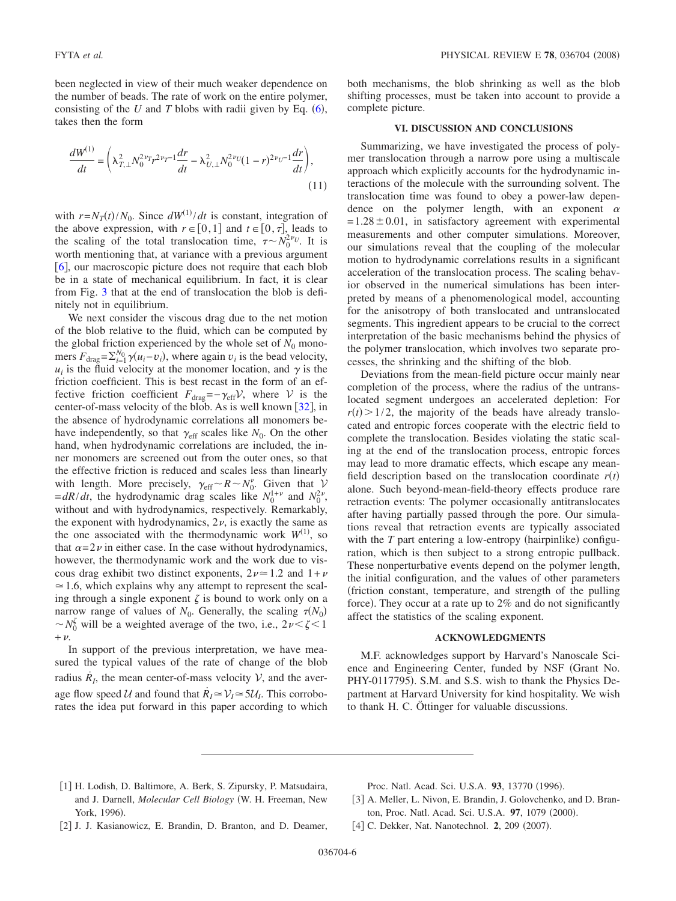been neglected in view of their much weaker dependence on the number of beads. The rate of work on the entire polymer, consisting of the  $U$  and  $T$  blobs with radii given by Eq.  $(6)$  $(6)$  $(6)$ , takes then the form

$$
\frac{dW^{(1)}}{dt} = \left(\lambda_{T,\perp}^2 N_0^{2\nu_T} r^{2\nu_T - 1} \frac{dr}{dt} - \lambda_{U,\perp}^2 N_0^{2\nu_U} (1 - r)^{2\nu_U - 1} \frac{dr}{dt}\right),\tag{11}
$$

with  $r = N_T(t)/N_0$ . Since  $dW^{(1)}/dt$  is constant, integration of the above expression, with  $r \in [0,1]$  and  $t \in [0,\tau]$ , leads to the scaling of the total translocation time,  $\tau \sim N_0^{2\nu_U}$ . It is worth mentioning that, at variance with a previous argument [[6](#page-6-1)], our macroscopic picture does not require that each blob be in a state of mechanical equilibrium. In fact, it is clear from Fig. [3](#page-3-1) that at the end of translocation the blob is definitely not in equilibrium.

We next consider the viscous drag due to the net motion of the blob relative to the fluid, which can be computed by the global friction experienced by the whole set of  $N_0$  monomers  $F_{\text{drag}} = \sum_{i=1}^{N_0} \gamma(u_i - v_i)$ , where again  $v_i$  is the bead velocity,  $u_i$  is the fluid velocity at the monomer location, and  $\gamma$  is the friction coefficient. This is best recast in the form of an effective friction coefficient  $F_{drag}=-\gamma_{eff}V$ , where V is the center-of-mass velocity of the blob. As is well known  $[32]$  $[32]$  $[32]$ , in the absence of hydrodynamic correlations all monomers behave independently, so that  $\gamma_{\text{eff}}$  scales like  $N_0$ . On the other hand, when hydrodynamic correlations are included, the inner monomers are screened out from the outer ones, so that the effective friction is reduced and scales less than linearly with length. More precisely,  $\gamma_{\text{eff}} \sim R \sim N_0^{\nu}$ . Given that  $\mathcal{V}$  $= dR/dt$ , the hydrodynamic drag scales like  $N_0^{1+\nu}$  and  $N_0^{2\nu}$ , without and with hydrodynamics, respectively. Remarkably, the exponent with hydrodynamics,  $2\nu$ , is exactly the same as the one associated with the thermodynamic work  $W^{(1)}$ , so that  $\alpha = 2\nu$  in either case. In the case without hydrodynamics, however, the thermodynamic work and the work due to viscous drag exhibit two distinct exponents,  $2\nu \approx 1.2$  and  $1+\nu$  $\approx$  1.6, which explains why any attempt to represent the scaling through a single exponent  $\zeta$  is bound to work only on a narrow range of values of  $N_0$ . Generally, the scaling  $\tau(N_0)$  $\sim N_0^{\zeta}$  will be a weighted average of the two, i.e.,  $2\nu < \zeta < 1$  $+\nu$ .

In support of the previous interpretation, we have measured the typical values of the rate of change of the blob radius  $\dot{R}_l$ , the mean center-of-mass velocity  $V$ , and the average flow speed U and found that  $R_I \approx V_I \approx 5U_I$ . This corroborates the idea put forward in this paper according to which both mechanisms, the blob shrinking as well as the blob shifting processes, must be taken into account to provide a complete picture.

#### **VI. DISCUSSION AND CONCLUSIONS**

Summarizing, we have investigated the process of polymer translocation through a narrow pore using a multiscale approach which explicitly accounts for the hydrodynamic interactions of the molecule with the surrounding solvent. The translocation time was found to obey a power-law dependence on the polymer length, with an exponent  $\alpha$  $= 1.28 \pm 0.01$ , in satisfactory agreement with experimental measurements and other computer simulations. Moreover, our simulations reveal that the coupling of the molecular motion to hydrodynamic correlations results in a significant acceleration of the translocation process. The scaling behavior observed in the numerical simulations has been interpreted by means of a phenomenological model, accounting for the anisotropy of both translocated and untranslocated segments. This ingredient appears to be crucial to the correct interpretation of the basic mechanisms behind the physics of the polymer translocation, which involves two separate processes, the shrinking and the shifting of the blob.

Deviations from the mean-field picture occur mainly near completion of the process, where the radius of the untranslocated segment undergoes an accelerated depletion: For  $r(t)$  > 1/2, the majority of the beads have already translocated and entropic forces cooperate with the electric field to complete the translocation. Besides violating the static scaling at the end of the translocation process, entropic forces may lead to more dramatic effects, which escape any meanfield description based on the translocation coordinate  $r(t)$ alone. Such beyond-mean-field-theory effects produce rare retraction events: The polymer occasionally antitranslocates after having partially passed through the pore. Our simulations reveal that retraction events are typically associated with the  $T$  part entering a low-entropy (hairpinlike) configuration, which is then subject to a strong entropic pullback. These nonperturbative events depend on the polymer length, the initial configuration, and the values of other parameters friction constant, temperature, and strength of the pulling force). They occur at a rate up to 2% and do not significantly affect the statistics of the scaling exponent.

## **ACKNOWLEDGMENTS**

M.F. acknowledges support by Harvard's Nanoscale Science and Engineering Center, funded by NSF Grant No. PHY-0117795). S.M. and S.S. wish to thank the Physics Department at Harvard University for kind hospitality. We wish to thank H. C. Öttinger for valuable discussions.

- <span id="page-5-0"></span>1 H. Lodish, D. Baltimore, A. Berk, S. Zipursky, P. Matsudaira, and J. Darnell, *Molecular Cell Biology* W. H. Freeman, New York, 1996).
- Proc. Natl. Acad. Sci. U.S.A. 93, 13770 (1996).
- [3] A. Meller, L. Nivon, E. Brandin, J. Golovchenko, and D. Branton, Proc. Natl. Acad. Sci. U.S.A. 97, 1079 (2000).
- <span id="page-5-1"></span>[2] J. J. Kasianowicz, E. Brandin, D. Branton, and D. Deamer,
- <span id="page-5-3"></span><span id="page-5-2"></span>[4] C. Dekker, Nat. Nanotechnol. 2, 209 (2007).